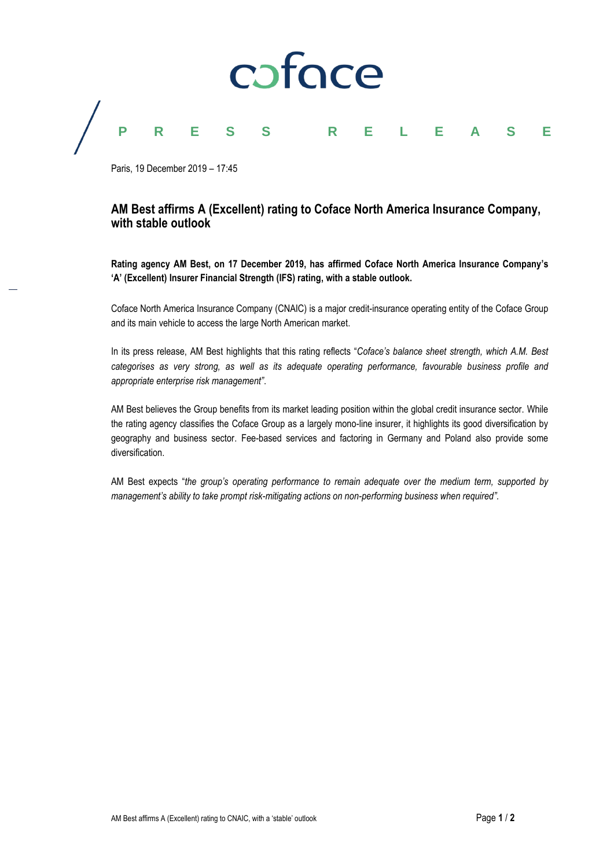

# **PRESS RELEASE**

Paris, 19 December 2019 – 17:45

### **AM Best affirms A (Excellent) rating to Coface North America Insurance Company, with stable outlook**

**Rating agency AM Best, on 17 December 2019, has affirmed Coface North America Insurance Company's 'A' (Excellent) Insurer Financial Strength (IFS) rating, with a stable outlook.**

Coface North America Insurance Company (CNAIC) is a major credit-insurance operating entity of the Coface Group and its main vehicle to access the large North American market.

In its press release, AM Best highlights that this rating reflects "*Coface's balance sheet strength, which A.M. Best categorises as very strong, as well as its adequate operating performance, favourable business profile and appropriate enterprise risk management"*.

AM Best believes the Group benefits from its market leading position within the global credit insurance sector. While the rating agency classifies the Coface Group as a largely mono-line insurer, it highlights its good diversification by geography and business sector. Fee-based services and factoring in Germany and Poland also provide some diversification.

AM Best expects "*the group's operating performance to remain adequate over the medium term, supported by management's ability to take prompt risk-mitigating actions on non-performing business when required".*